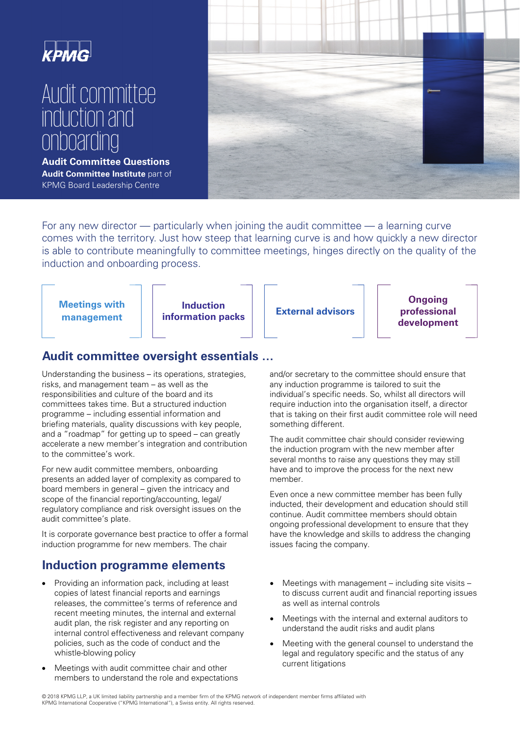

# Audit committee induction and onboarding

**Audit Committee Questions Audit Committee Institute** part of KPMG Board Leadership Centre



For any new director — particularly when joining the audit committee — a learning curve comes with the territory. Just how steep that learning curve is and how quickly a new director is able to contribute meaningfully to committee meetings, hinges directly on the quality of the induction and onboarding process.



## **Audit committee oversight essentials …**

Understanding the business – its operations, strategies, risks, and management team – as well as the responsibilities and culture of the board and its committees takes time. But a structured induction programme – including essential information and briefing materials, quality discussions with key people, and a "roadmap" for getting up to speed – can greatly accelerate a new member's integration and contribution to the committee's work.

For new audit committee members, onboarding presents an added layer of complexity as compared to board members in general – given the intricacy and scope of the financial reporting/accounting, legal/ regulatory compliance and risk oversight issues on the audit committee's plate.

It is corporate governance best practice to offer a formal induction programme for new members. The chair

## **Induction programme elements**

- Providing an information pack, including at least copies of latest financial reports and earnings releases, the committee's terms of reference and recent meeting minutes, the internal and external audit plan, the risk register and any reporting on internal control effectiveness and relevant company policies, such as the code of conduct and the whistle-blowing policy
- Meetings with audit committee chair and other members to understand the role and expectations

and/or secretary to the committee should ensure that any induction programme is tailored to suit the individual's specific needs. So, whilst all directors will require induction into the organisation itself, a director that is taking on their first audit committee role will need something different.

The audit committee chair should consider reviewing the induction program with the new member after several months to raise any questions they may still have and to improve the process for the next new member.

Even once a new committee member has been fully inducted, their development and education should still continue. Audit committee members should obtain ongoing professional development to ensure that they have the knowledge and skills to address the changing issues facing the company.

- Meetings with management  $-$  including site visits  $$ to discuss current audit and financial reporting issues as well as internal controls
- Meetings with the internal and external auditors to understand the audit risks and audit plans
- Meeting with the general counsel to understand the legal and regulatory specific and the status of any current litigations

 © 2018 KPMG LLP, a UK limited liability partnership and a member firm of the KPMG network of independent member firms affiliated with KPMG International Cooperative ("KPMG International"), a Swiss entity. All rights reserved.